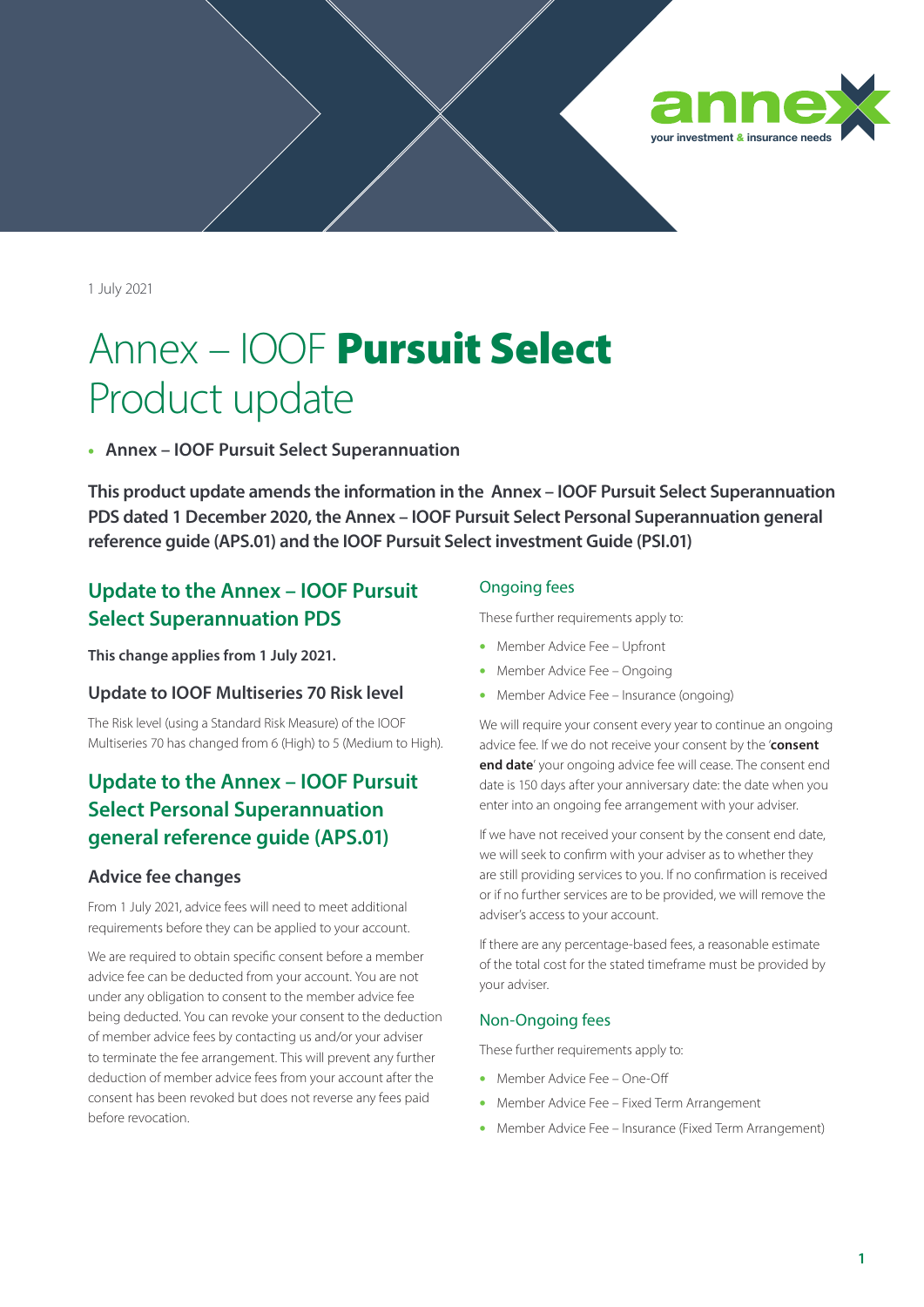

1 July 2021

# Annex – IOOF Pursuit Select Product update

• **Annex – IOOF Pursuit Select Superannuation**

**This product update amends the information in the [Annex – IOOF Pursuit Select Superannuation](https://www1.ioof.com.au/files/docsForms/AnnexPursuitSelectPersonalSuperPDS.pdf)  [PDS](https://www1.ioof.com.au/files/docsForms/AnnexPursuitSelectPersonalSuperPDS.pdf) dated 1 December 2020, the [Annex – IOOF Pursuit Select Personal Superannuation general](https://www1.ioof.com.au/files/docsForms/AnnexPursuitSelectPersonalSuperGeneralReferenceGuide.pdf)  [reference guide \(APS.01\)](https://www1.ioof.com.au/files/docsForms/AnnexPursuitSelectPersonalSuperGeneralReferenceGuide.pdf) and the [IOOF Pursuit Select investment Guide \(PSI.01\)](https://www1.ioof.com.au/files/docsForms/PursuitSelectInvestmentGuide.pdf)**

## **Update to the [Annex – IOOF Pursuit](https://www1.ioof.com.au/files/docsForms/AnnexPursuitSelectPersonalSuperPDS.pdf)  [Select Superannuation PDS](https://www1.ioof.com.au/files/docsForms/AnnexPursuitSelectPersonalSuperPDS.pdf)**

**This change applies from 1 July 2021.**

## **Update to IOOF Multiseries 70 Risk level**

The Risk level (using a Standard Risk Measure) of the IOOF Multiseries 70 has changed from 6 (High) to 5 (Medium to High).

# **Update to the [Annex – IOOF Pursuit](https://www1.ioof.com.au/files/docsForms/AnnexPursuitSelectPersonalSuperGeneralReferenceGuide.pdf)  [Select Personal Superannuation](https://www1.ioof.com.au/files/docsForms/AnnexPursuitSelectPersonalSuperGeneralReferenceGuide.pdf)  [general reference guide \(APS.01\)](https://www1.ioof.com.au/files/docsForms/AnnexPursuitSelectPersonalSuperGeneralReferenceGuide.pdf)**

## **Advice fee changes**

From 1 July 2021, advice fees will need to meet additional requirements before they can be applied to your account.

We are required to obtain specific consent before a member advice fee can be deducted from your account. You are not under any obligation to consent to the member advice fee being deducted. You can revoke your consent to the deduction of member advice fees by contacting us and/or your adviser to terminate the fee arrangement. This will prevent any further deduction of member advice fees from your account after the consent has been revoked but does not reverse any fees paid before revocation.

#### Ongoing fees

These further requirements apply to:

- Member Advice Fee Upfront
- Member Advice Fee Ongoing
- Member Advice Fee Insurance (ongoing)

We will require your consent every year to continue an ongoing advice fee. If we do not receive your consent by the '**consent end date**' your ongoing advice fee will cease. The consent end date is 150 days after your anniversary date: the date when you enter into an ongoing fee arrangement with your adviser.

If we have not received your consent by the consent end date, we will seek to confirm with your adviser as to whether they are still providing services to you. If no confirmation is received or if no further services are to be provided, we will remove the adviser's access to your account.

If there are any percentage-based fees, a reasonable estimate of the total cost for the stated timeframe must be provided by your adviser.

#### Non-Ongoing fees

These further requirements apply to:

- Member Advice Fee One-Off
- Member Advice Fee Fixed Term Arrangement
- Member Advice Fee Insurance (Fixed Term Arrangement)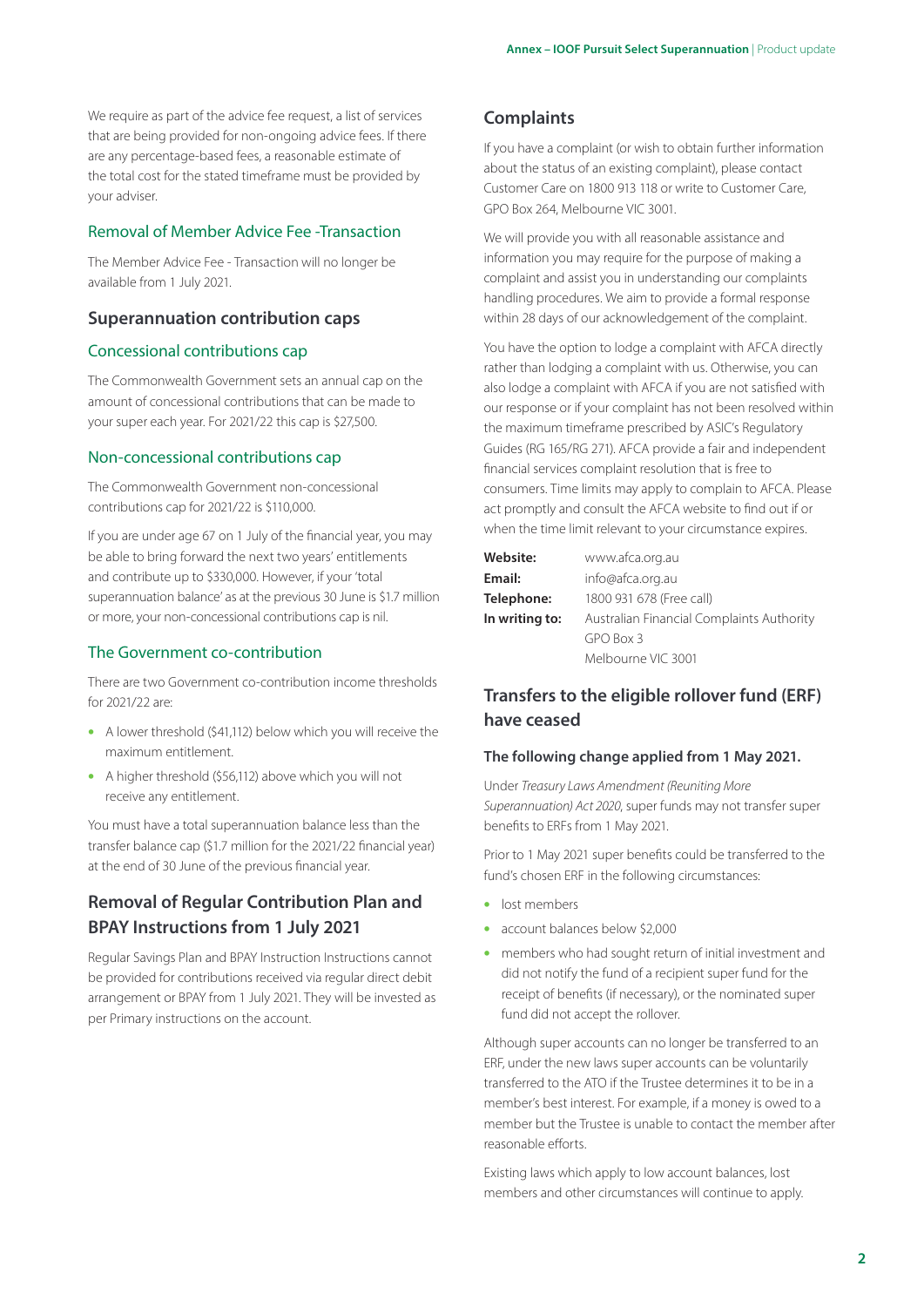We require as part of the advice fee request, a list of services that are being provided for non-ongoing advice fees. If there are any percentage-based fees, a reasonable estimate of the total cost for the stated timeframe must be provided by your adviser.

#### Removal of Member Advice Fee -Transaction

The Member Advice Fee - Transaction will no longer be available from 1 July 2021.

### **Superannuation contribution caps**

#### Concessional contributions cap

The Commonwealth Government sets an annual cap on the amount of concessional contributions that can be made to your super each year. For 2021/22 this cap is \$27,500.

#### Non-concessional contributions cap

The Commonwealth Government non-concessional contributions cap for 2021/22 is \$110,000.

If you are under age 67 on 1 July of the financial year, you may be able to bring forward the next two years' entitlements and contribute up to \$330,000. However, if your 'total superannuation balance' as at the previous 30 June is \$1.7 million or more, your non-concessional contributions cap is nil.

#### The Government co-contribution

There are two Government co-contribution income thresholds for 2021/22 are:

- A lower threshold (\$41,112) below which you will receive the maximum entitlement.
- A higher threshold (\$56,112) above which you will not receive any entitlement.

You must have a total superannuation balance less than the transfer balance cap (\$1.7 million for the 2021/22 financial year) at the end of 30 June of the previous financial year.

## **Removal of Regular Contribution Plan and BPAY Instructions from 1 July 2021**

Regular Savings Plan and BPAY Instruction Instructions cannot be provided for contributions received via regular direct debit arrangement or BPAY from 1 July 2021. They will be invested as per Primary instructions on the account.

## **Complaints**

If you have a complaint (or wish to obtain further information about the status of an existing complaint), please contact Customer Care on 1800 913 118 or write to Customer Care, GPO Box 264, Melbourne VIC 3001.

We will provide you with all reasonable assistance and information you may require for the purpose of making a complaint and assist you in understanding our complaints handling procedures. We aim to provide a formal response within 28 days of our acknowledgement of the complaint.

You have the option to lodge a complaint with AFCA directly rather than lodging a complaint with us. Otherwise, you can also lodge a complaint with AFCA if you are not satisfied with our response or if your complaint has not been resolved within the maximum timeframe prescribed by ASIC's Regulatory Guides (RG 165/RG 271). AFCA provide a fair and independent financial services complaint resolution that is free to consumers. Time limits may apply to complain to AFCA. Please act promptly and consult the AFCA website to find out if or when the time limit relevant to your circumstance expires.

| Website:       | www.afca.org.au                           |
|----------------|-------------------------------------------|
| Email:         | info@afca.org.au                          |
| Telephone:     | 1800 931 678 (Free call)                  |
| In writing to: | Australian Financial Complaints Authority |
|                | GPO Box 3                                 |
|                | Melbourne VIC 3001                        |

## **Transfers to the eligible rollover fund (ERF) have ceased**

#### **The following change applied from 1 May 2021.**

Under *Treasury Laws Amendment (Reuniting More Superannuation) Act 2020*, super funds may not transfer super benefits to ERFs from 1 May 2021.

Prior to 1 May 2021 super benefits could be transferred to the fund's chosen ERF in the following circumstances:

- lost members
- account balances below \$2,000
- members who had sought return of initial investment and did not notify the fund of a recipient super fund for the receipt of benefits (if necessary), or the nominated super fund did not accept the rollover.

Although super accounts can no longer be transferred to an ERF, under the new laws super accounts can be voluntarily transferred to the ATO if the Trustee determines it to be in a member's best interest. For example, if a money is owed to a member but the Trustee is unable to contact the member after reasonable efforts.

Existing laws which apply to low account balances, lost members and other circumstances will continue to apply.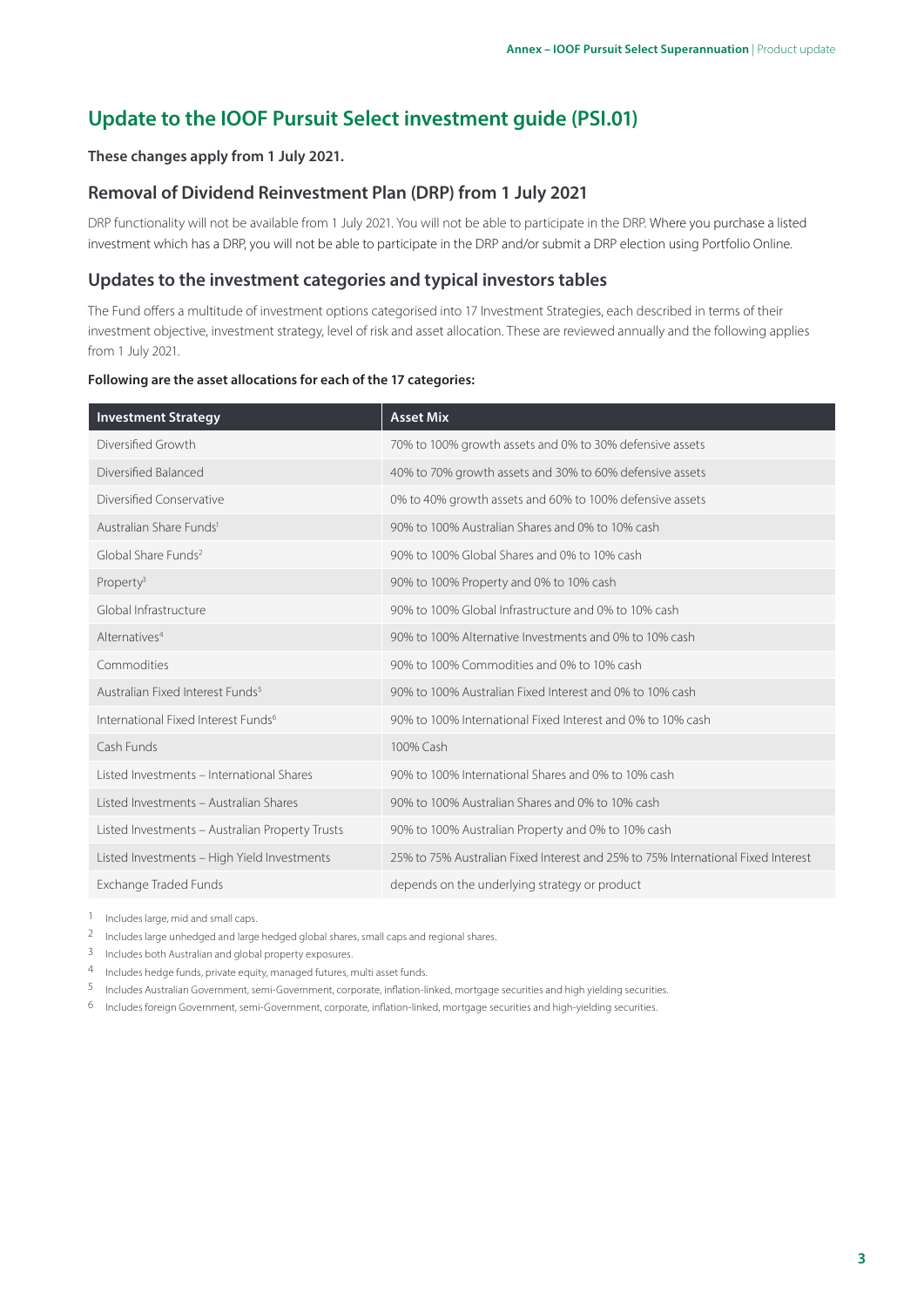# **Update to the [IOOF Pursuit Select investment guide \(PSI.01\)](https://www1.ioof.com.au/files/docsForms/PursuitSelectInvestmentGuide.pdf)**

#### **These changes apply from 1 July 2021.**

## **Removal of Dividend Reinvestment Plan (DRP) from 1 July 2021**

DRP functionality will not be available from 1 July 2021. You will not be able to participate in the DRP. Where you purchase a listed investment which has a DRP, you will not be able to participate in the DRP and/or submit a DRP election using Portfolio Online.

### **Updates to the investment categories and typical investors tables**

The Fund offers a multitude of investment options categorised into 17 Investment Strategies, each described in terms of their investment objective, investment strategy, level of risk and asset allocation. These are reviewed annually and the following applies from 1 July 2021.

#### **Following are the asset allocations for each of the 17 categories:**

| <b>Investment Strategy</b>                      | <b>Asset Mix</b>                                                                 |
|-------------------------------------------------|----------------------------------------------------------------------------------|
| Diversified Growth                              | 70% to 100% growth assets and 0% to 30% defensive assets                         |
| Diversified Balanced                            | 40% to 70% growth assets and 30% to 60% defensive assets                         |
| Diversified Conservative                        | 0% to 40% growth assets and 60% to 100% defensive assets                         |
| Australian Share Funds <sup>1</sup>             | 90% to 100% Australian Shares and 0% to 10% cash                                 |
| Global Share Funds <sup>2</sup>                 | 90% to 100% Global Shares and 0% to 10% cash                                     |
| Property <sup>3</sup>                           | 90% to 100% Property and 0% to 10% cash                                          |
| Global Infrastructure                           | 90% to 100% Global Infrastructure and 0% to 10% cash                             |
| Alternatives <sup>4</sup>                       | 90% to 100% Alternative Investments and 0% to 10% cash                           |
| Commodities                                     | 90% to 100% Commodities and 0% to 10% cash                                       |
| Australian Fixed Interest Funds <sup>5</sup>    | 90% to 100% Australian Fixed Interest and 0% to 10% cash                         |
| International Fixed Interest Funds <sup>6</sup> | 90% to 100% International Fixed Interest and 0% to 10% cash                      |
| Cash Funds                                      | 100% Cash                                                                        |
| Listed Investments – International Shares       | 90% to 100% International Shares and 0% to 10% cash                              |
| Listed Investments - Australian Shares          | 90% to 100% Australian Shares and 0% to 10% cash                                 |
| Listed Investments - Australian Property Trusts | 90% to 100% Australian Property and 0% to 10% cash                               |
| Listed Investments - High Yield Investments     | 25% to 75% Australian Fixed Interest and 25% to 75% International Fixed Interest |
| Exchange Traded Funds                           | depends on the underlying strategy or product                                    |

1 Includes large, mid and small caps.

2 Includes large unhedged and large hedged global shares, small caps and regional shares.

3 Includes both Australian and global property exposures.

4 Includes hedge funds, private equity, managed futures, multi asset funds.

5 Includes Australian Government, semi-Government, corporate, inflation-linked, mortgage securities and high yielding securities.

6 Includes foreign Government, semi-Government, corporate, inflation-linked, mortgage securities and high-yielding securities.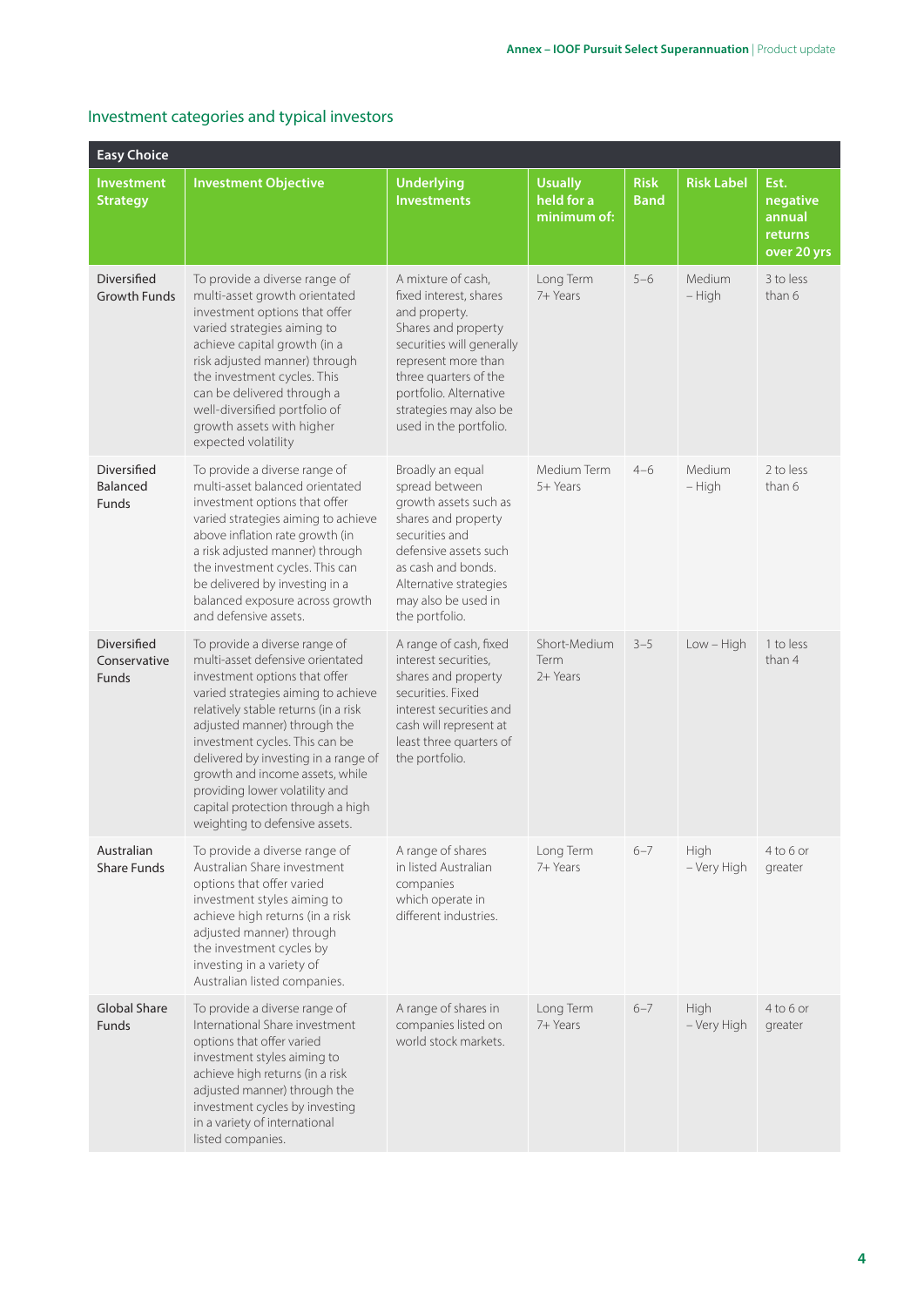| <b>Easy Choice</b>                          |                                                                                                                                                                                                                                                                                                                                                                                                                                         |                                                                                                                                                                                                                                                 |                                             |                            |                     |                                                      |
|---------------------------------------------|-----------------------------------------------------------------------------------------------------------------------------------------------------------------------------------------------------------------------------------------------------------------------------------------------------------------------------------------------------------------------------------------------------------------------------------------|-------------------------------------------------------------------------------------------------------------------------------------------------------------------------------------------------------------------------------------------------|---------------------------------------------|----------------------------|---------------------|------------------------------------------------------|
| <b>Investment</b><br><b>Strategy</b>        | <b>Investment Objective</b>                                                                                                                                                                                                                                                                                                                                                                                                             | <b>Underlying</b><br><b>Investments</b>                                                                                                                                                                                                         | <b>Usually</b><br>held for a<br>minimum of: | <b>Risk</b><br><b>Band</b> | <b>Risk Label</b>   | Est.<br>negative<br>annual<br>returns<br>over 20 yrs |
| Diversified<br><b>Growth Funds</b>          | To provide a diverse range of<br>multi-asset growth orientated<br>investment options that offer<br>varied strategies aiming to<br>achieve capital growth (in a<br>risk adjusted manner) through<br>the investment cycles. This<br>can be delivered through a<br>well-diversified portfolio of<br>growth assets with higher<br>expected volatility                                                                                       | A mixture of cash,<br>fixed interest, shares<br>and property.<br>Shares and property<br>securities will generally<br>represent more than<br>three quarters of the<br>portfolio. Alternative<br>strategies may also be<br>used in the portfolio. | Long Term<br>7+ Years                       | $5 - 6$                    | Medium<br>- High    | 3 to less<br>than 6                                  |
| Diversified<br>Balanced<br>Funds            | To provide a diverse range of<br>multi-asset balanced orientated<br>investment options that offer<br>varied strategies aiming to achieve<br>above inflation rate growth (in<br>a risk adjusted manner) through<br>the investment cycles. This can<br>be delivered by investing in a<br>balanced exposure across growth<br>and defensive assets.                                                                                         | Broadly an equal<br>spread between<br>growth assets such as<br>shares and property<br>securities and<br>defensive assets such<br>as cash and bonds.<br>Alternative strategies<br>may also be used in<br>the portfolio.                          | Medium Term<br>5+ Years                     | $4 - 6$                    | Medium<br>- High    | 2 to less<br>than 6                                  |
| Diversified<br>Conservative<br><b>Funds</b> | To provide a diverse range of<br>multi-asset defensive orientated<br>investment options that offer<br>varied strategies aiming to achieve<br>relatively stable returns (in a risk<br>adjusted manner) through the<br>investment cycles. This can be<br>delivered by investing in a range of<br>growth and income assets, while<br>providing lower volatility and<br>capital protection through a high<br>weighting to defensive assets. | A range of cash, fixed<br>interest securities,<br>shares and property<br>securities. Fixed<br>interest securities and<br>cash will represent at<br>least three quarters of<br>the portfolio.                                                    | Short-Medium<br><b>Term</b><br>2+ Years     | $3 - 5$                    | $Low - High$        | 1 to less<br>than 4                                  |
| Australian<br><b>Share Funds</b>            | To provide a diverse range of<br>Australian Share investment<br>options that offer varied<br>investment styles aiming to<br>achieve high returns (in a risk<br>adjusted manner) through<br>the investment cycles by<br>investing in a variety of<br>Australian listed companies.                                                                                                                                                        | A range of shares<br>in listed Australian<br>companies<br>which operate in<br>different industries.                                                                                                                                             | Long Term<br>7+ Years                       | $6 - 7$                    | High<br>- Very High | $4$ to $6$ or<br>greater                             |
| <b>Global Share</b><br>Funds                | To provide a diverse range of<br>International Share investment<br>options that offer varied<br>investment styles aiming to<br>achieve high returns (in a risk<br>adjusted manner) through the<br>investment cycles by investing<br>in a variety of international<br>listed companies.                                                                                                                                                  | A range of shares in<br>companies listed on<br>world stock markets.                                                                                                                                                                             | Long Term<br>7+ Years                       | $6 - 7$                    | High<br>- Very High | $4$ to 6 or<br>greater                               |

## Investment categories and typical investors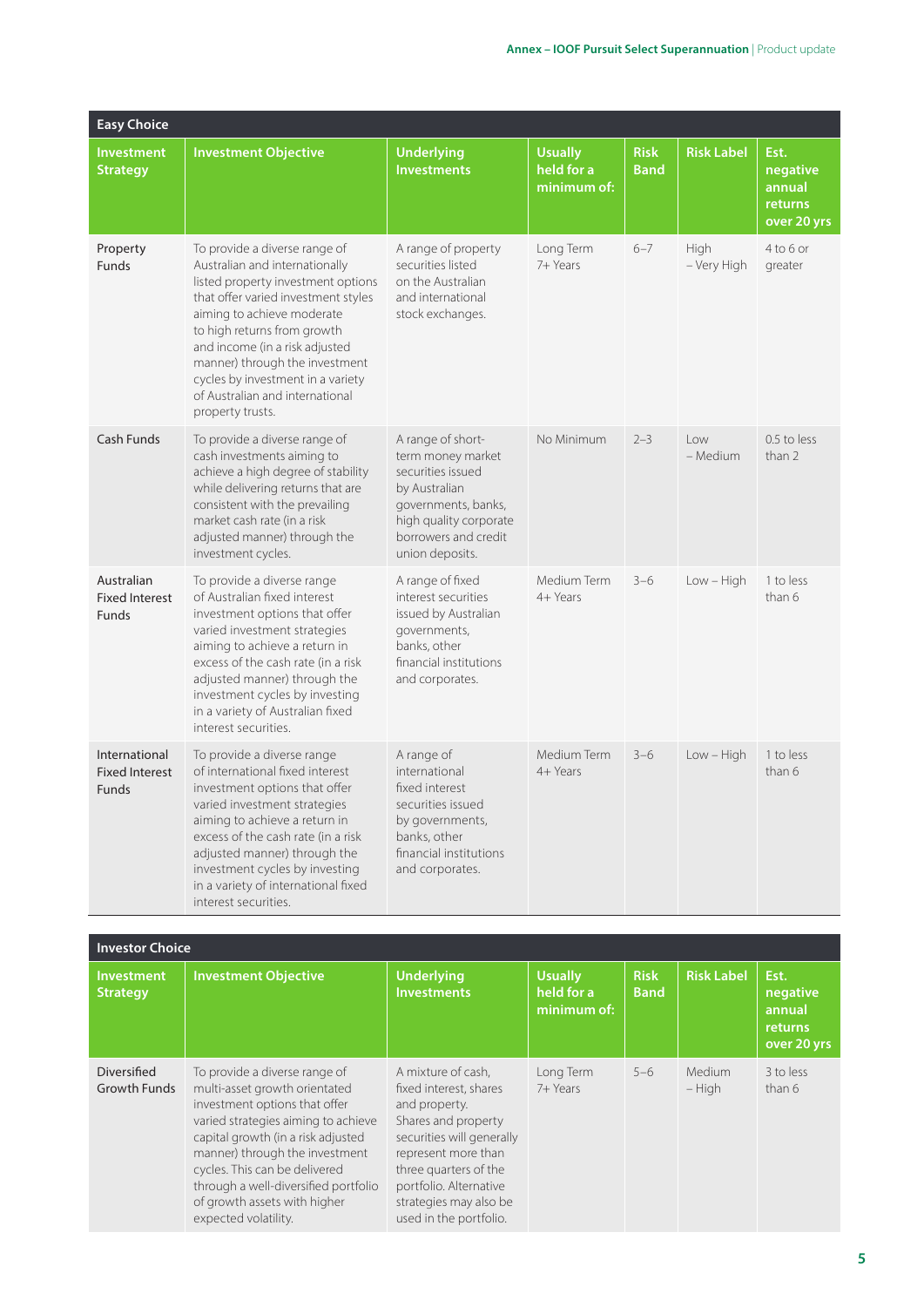| <b>Easy Choice</b>                                     |                                                                                                                                                                                                                                                                                                                                                                           |                                                                                                                                                                          |                                             |                            |                            |                                                      |
|--------------------------------------------------------|---------------------------------------------------------------------------------------------------------------------------------------------------------------------------------------------------------------------------------------------------------------------------------------------------------------------------------------------------------------------------|--------------------------------------------------------------------------------------------------------------------------------------------------------------------------|---------------------------------------------|----------------------------|----------------------------|------------------------------------------------------|
| <b>Investment</b><br><b>Strategy</b>                   | <b>Investment Objective</b>                                                                                                                                                                                                                                                                                                                                               | <b>Underlying</b><br><b>Investments</b>                                                                                                                                  | <b>Usually</b><br>held for a<br>minimum of: | <b>Risk</b><br><b>Band</b> | <b>Risk Label</b>          | Est.<br>negative<br>annual<br>returns<br>over 20 yrs |
| Property<br><b>Funds</b>                               | To provide a diverse range of<br>Australian and internationally<br>listed property investment options<br>that offer varied investment styles<br>aiming to achieve moderate<br>to high returns from growth<br>and income (in a risk adjusted<br>manner) through the investment<br>cycles by investment in a variety<br>of Australian and international<br>property trusts. | A range of property<br>securities listed<br>on the Australian<br>and international<br>stock exchanges.                                                                   | Long Term<br>7+ Years                       | $6 - 7$                    | <b>High</b><br>- Very High | 4 to 6 or<br>greater                                 |
| Cash Funds                                             | To provide a diverse range of<br>cash investments aiming to<br>achieve a high degree of stability<br>while delivering returns that are<br>consistent with the prevailing<br>market cash rate (in a risk<br>adjusted manner) through the<br>investment cycles.                                                                                                             | A range of short-<br>term money market<br>securities issued<br>by Australian<br>governments, banks,<br>high quality corporate<br>borrowers and credit<br>union deposits. | No Minimum                                  | $2 - 3$                    | l ow<br>- Medium           | 0.5 to less<br>than 2                                |
| Australian<br><b>Fixed Interest</b><br><b>Funds</b>    | To provide a diverse range<br>of Australian fixed interest<br>investment options that offer<br>varied investment strategies<br>aiming to achieve a return in<br>excess of the cash rate (in a risk<br>adjusted manner) through the<br>investment cycles by investing<br>in a variety of Australian fixed<br>interest securities.                                          | A range of fixed<br>interest securities<br>issued by Australian<br>governments,<br>banks, other<br>financial institutions<br>and corporates.                             | Medium Term<br>4+ Years                     | $3 - 6$                    | $Low - High$               | 1 to less<br>than 6                                  |
| International<br><b>Fixed Interest</b><br><b>Funds</b> | To provide a diverse range<br>of international fixed interest<br>investment options that offer<br>varied investment strategies<br>aiming to achieve a return in<br>excess of the cash rate (in a risk<br>adjusted manner) through the<br>investment cycles by investing<br>in a variety of international fixed<br>interest securities.                                    | A range of<br>international<br>fixed interest<br>securities issued<br>by governments,<br>banks, other<br>financial institutions<br>and corporates.                       | Medium Term<br>4+ Years                     | $3 - 6$                    | $Low - High$               | 1 to less<br>than 6                                  |

| <b>Investor Choice</b>               |                                                                                                                                                                                                                                                                                                                                                 |                                                                                                                                                                                                                                                 |                                             |                            |                           |                                                      |
|--------------------------------------|-------------------------------------------------------------------------------------------------------------------------------------------------------------------------------------------------------------------------------------------------------------------------------------------------------------------------------------------------|-------------------------------------------------------------------------------------------------------------------------------------------------------------------------------------------------------------------------------------------------|---------------------------------------------|----------------------------|---------------------------|------------------------------------------------------|
| <b>Investment</b><br><b>Strategy</b> | <b>Investment Objective</b>                                                                                                                                                                                                                                                                                                                     | <b>Underlying</b><br><b>Investments</b>                                                                                                                                                                                                         | <b>Usually</b><br>held for a<br>minimum of: | <b>Risk</b><br><b>Band</b> | <b>Risk Label</b>         | Est.<br>negative<br>annual<br>returns<br>over 20 yrs |
| Diversified<br><b>Growth Funds</b>   | To provide a diverse range of<br>multi-asset growth orientated<br>investment options that offer<br>varied strategies aiming to achieve<br>capital growth (in a risk adjusted<br>manner) through the investment<br>cycles. This can be delivered<br>through a well-diversified portfolio<br>of growth assets with higher<br>expected volatility. | A mixture of cash,<br>fixed interest, shares<br>and property.<br>Shares and property<br>securities will generally<br>represent more than<br>three quarters of the<br>portfolio. Alternative<br>strategies may also be<br>used in the portfolio. | Long Term<br>7+ Years                       | $5 - 6$                    | <b>Medium</b><br>$-$ High | 3 to less<br>than 6                                  |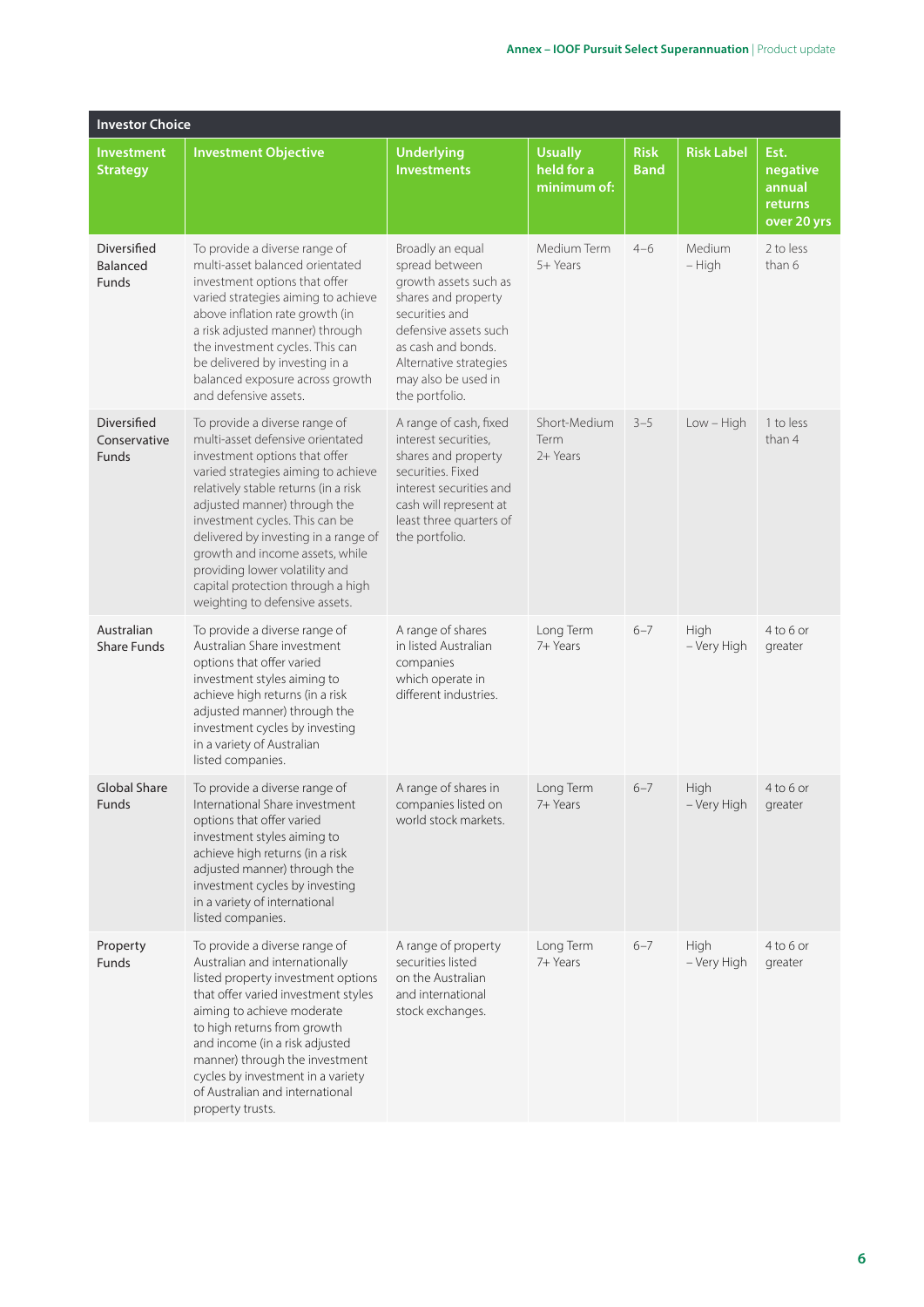| <b>Investor Choice</b>                  |                                                                                                                                                                                                                                                                                                                                                                                                                                         |                                                                                                                                                                                                                        |                                             |                            |                             |                                                      |
|-----------------------------------------|-----------------------------------------------------------------------------------------------------------------------------------------------------------------------------------------------------------------------------------------------------------------------------------------------------------------------------------------------------------------------------------------------------------------------------------------|------------------------------------------------------------------------------------------------------------------------------------------------------------------------------------------------------------------------|---------------------------------------------|----------------------------|-----------------------------|------------------------------------------------------|
| <b>Investment</b><br><b>Strategy</b>    | <b>Investment Objective</b>                                                                                                                                                                                                                                                                                                                                                                                                             | <b>Underlying</b><br><b>Investments</b>                                                                                                                                                                                | <b>Usually</b><br>held for a<br>minimum of: | <b>Risk</b><br><b>Band</b> | <b>Risk Label</b>           | Est.<br>negative<br>annual<br>returns<br>over 20 yrs |
| Diversified<br><b>Balanced</b><br>Funds | To provide a diverse range of<br>multi-asset balanced orientated<br>investment options that offer<br>varied strategies aiming to achieve<br>above inflation rate growth (in<br>a risk adjusted manner) through<br>the investment cycles. This can<br>be delivered by investing in a<br>balanced exposure across growth<br>and defensive assets.                                                                                         | Broadly an equal<br>spread between<br>growth assets such as<br>shares and property<br>securities and<br>defensive assets such<br>as cash and bonds.<br>Alternative strategies<br>may also be used in<br>the portfolio. | Medium Term<br>5+ Years                     | $4 - 6$                    | Medium<br>– High            | 2 to less<br>than 6                                  |
| Diversified<br>Conservative<br>Funds    | To provide a diverse range of<br>multi-asset defensive orientated<br>investment options that offer<br>varied strategies aiming to achieve<br>relatively stable returns (in a risk<br>adjusted manner) through the<br>investment cycles. This can be<br>delivered by investing in a range of<br>growth and income assets, while<br>providing lower volatility and<br>capital protection through a high<br>weighting to defensive assets. | A range of cash, fixed<br>interest securities,<br>shares and property<br>securities. Fixed<br>interest securities and<br>cash will represent at<br>least three quarters of<br>the portfolio.                           | Short-Medium<br>Term<br>2+ Years            | $3 - 5$                    | $Low - High$                | 1 to less<br>than 4                                  |
| Australian<br><b>Share Funds</b>        | To provide a diverse range of<br>Australian Share investment<br>options that offer varied<br>investment styles aiming to<br>achieve high returns (in a risk<br>adjusted manner) through the<br>investment cycles by investing<br>in a variety of Australian<br>listed companies.                                                                                                                                                        | A range of shares<br>in listed Australian<br>companies<br>which operate in<br>different industries.                                                                                                                    | Long Term<br>7+ Years                       | $6 - 7$                    | High<br>- Very High         | 4 to 6 or<br>greater                                 |
| <b>Global Share</b><br>Funds            | To provide a diverse range of<br>International Share investment<br>options that offer varied<br>investment styles aiming to<br>achieve high returns (in a risk<br>adjusted manner) through the<br>investment cycles by investing<br>in a variety of international<br>listed companies.                                                                                                                                                  | A range of shares in<br>companies listed on<br>world stock markets.                                                                                                                                                    | Long Term<br>7+ Years                       | $6 - 7$                    | High<br>- Very High greater | 4 to 6 or                                            |
| Property<br>Funds                       | To provide a diverse range of<br>Australian and internationally<br>listed property investment options<br>that offer varied investment styles<br>aiming to achieve moderate<br>to high returns from growth<br>and income (in a risk adjusted<br>manner) through the investment<br>cycles by investment in a variety<br>of Australian and international<br>property trusts.                                                               | A range of property<br>securities listed<br>on the Australian<br>and international<br>stock exchanges.                                                                                                                 | Long Term<br>7+ Years                       | $6 - 7$                    | High<br>- Very High         | 4 to 6 or<br>greater                                 |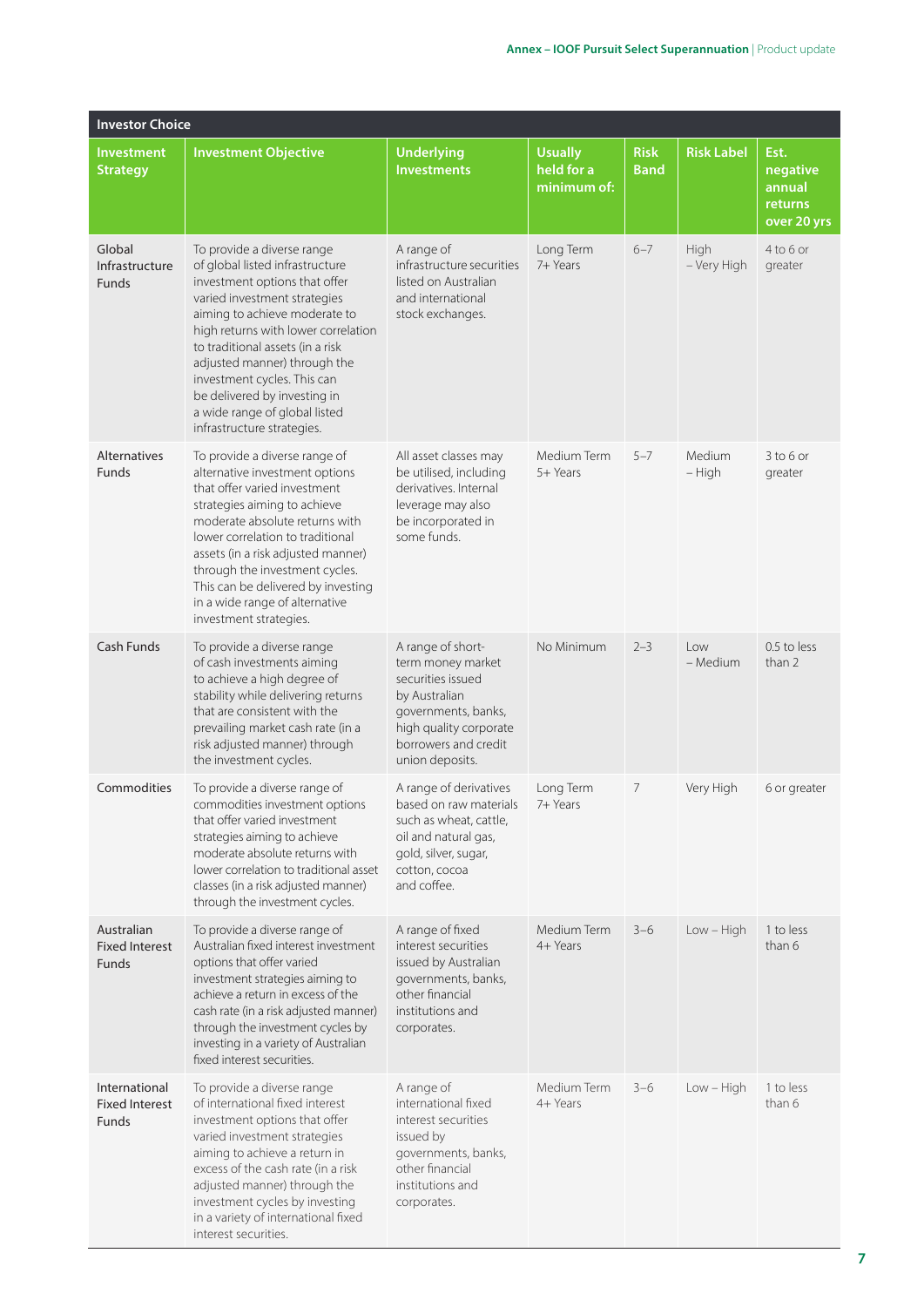| <b>Investor Choice</b>                          |                                                                                                                                                                                                                                                                                                                                                                                                          |                                                                                                                                                                          |                                             |                            |                     |                                                      |
|-------------------------------------------------|----------------------------------------------------------------------------------------------------------------------------------------------------------------------------------------------------------------------------------------------------------------------------------------------------------------------------------------------------------------------------------------------------------|--------------------------------------------------------------------------------------------------------------------------------------------------------------------------|---------------------------------------------|----------------------------|---------------------|------------------------------------------------------|
| <b>Investment</b><br><b>Strategy</b>            | <b>Investment Objective</b>                                                                                                                                                                                                                                                                                                                                                                              | <b>Underlying</b><br><b>Investments</b>                                                                                                                                  | <b>Usually</b><br>held for a<br>minimum of: | <b>Risk</b><br><b>Band</b> | <b>Risk Label</b>   | Est.<br>negative<br>annual<br>returns<br>over 20 yrs |
| Global<br>Infrastructure<br><b>Funds</b>        | To provide a diverse range<br>of global listed infrastructure<br>investment options that offer<br>varied investment strategies<br>aiming to achieve moderate to<br>high returns with lower correlation<br>to traditional assets (in a risk<br>adjusted manner) through the<br>investment cycles. This can<br>be delivered by investing in<br>a wide range of global listed<br>infrastructure strategies. | A range of<br>infrastructure securities<br>listed on Australian<br>and international<br>stock exchanges.                                                                 | Long Term<br>7+ Years                       | $6 - 7$                    | High<br>- Very High | 4 to 6 or<br>greater                                 |
| Alternatives<br>Funds                           | To provide a diverse range of<br>alternative investment options<br>that offer varied investment<br>strategies aiming to achieve<br>moderate absolute returns with<br>lower correlation to traditional<br>assets (in a risk adjusted manner)<br>through the investment cycles.<br>This can be delivered by investing<br>in a wide range of alternative<br>investment strategies.                          | All asset classes may<br>be utilised, including<br>derivatives. Internal<br>leverage may also<br>be incorporated in<br>some funds.                                       | Medium Term<br>5+ Years                     | $5 - 7$                    | Medium<br>- High    | $3$ to 6 or<br>greater                               |
| Cash Funds                                      | To provide a diverse range<br>of cash investments aiming<br>to achieve a high degree of<br>stability while delivering returns<br>that are consistent with the<br>prevailing market cash rate (in a<br>risk adjusted manner) through<br>the investment cycles.                                                                                                                                            | A range of short-<br>term money market<br>securities issued<br>by Australian<br>governments, banks,<br>high quality corporate<br>borrowers and credit<br>union deposits. | No Minimum                                  | $2 - 3$                    | Low<br>– Medium     | 0.5 to less<br>than 2                                |
| Commodities                                     | To provide a diverse range of<br>commodities investment options<br>that offer varied investment<br>strategies aiming to achieve<br>moderate absolute returns with<br>lower correlation to traditional asset<br>classes (in a risk adjusted manner)<br>through the investment cycles.                                                                                                                     | A range of derivatives<br>based on raw materials<br>such as wheat, cattle,<br>oil and natural gas,<br>gold, silver, sugar,<br>cotton, cocoa<br>and coffee.               | Long Term<br>7+ Years                       | 7                          | Very High           | 6 or greater                                         |
| Australian<br><b>Fixed Interest</b><br>Funds    | To provide a diverse range of<br>Australian fixed interest investment<br>options that offer varied<br>investment strategies aiming to<br>achieve a return in excess of the<br>cash rate (in a risk adjusted manner)<br>through the investment cycles by<br>investing in a variety of Australian<br>fixed interest securities.                                                                            | A range of fixed<br>interest securities<br>issued by Australian<br>governments, banks,<br>other financial<br>institutions and<br>corporates.                             | Medium Term<br>4+ Years                     | $3 - 6$                    | Low - High          | 1 to less<br>than 6                                  |
| International<br><b>Fixed Interest</b><br>Funds | To provide a diverse range<br>of international fixed interest<br>investment options that offer<br>varied investment strategies<br>aiming to achieve a return in<br>excess of the cash rate (in a risk<br>adjusted manner) through the<br>investment cycles by investing<br>in a variety of international fixed<br>interest securities.                                                                   | A range of<br>international fixed<br>interest securities<br>issued by<br>governments, banks,<br>other financial<br>institutions and<br>corporates.                       | Medium Term<br>4+ Years                     | $3 - 6$                    | $Low - High$        | 1 to less<br>than 6                                  |